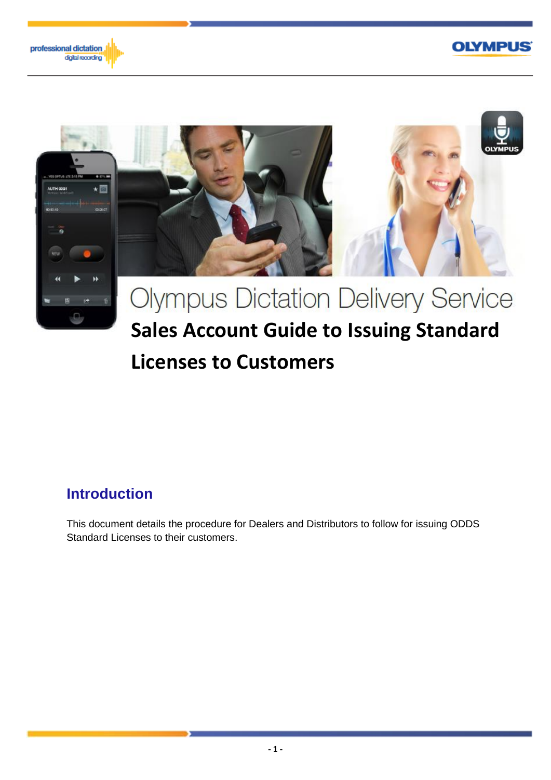





# **Licenses to Customers**

### **Introduction**

This document details the procedure for Dealers and Distributors to follow for issuing ODDS Standard Licenses to their customers.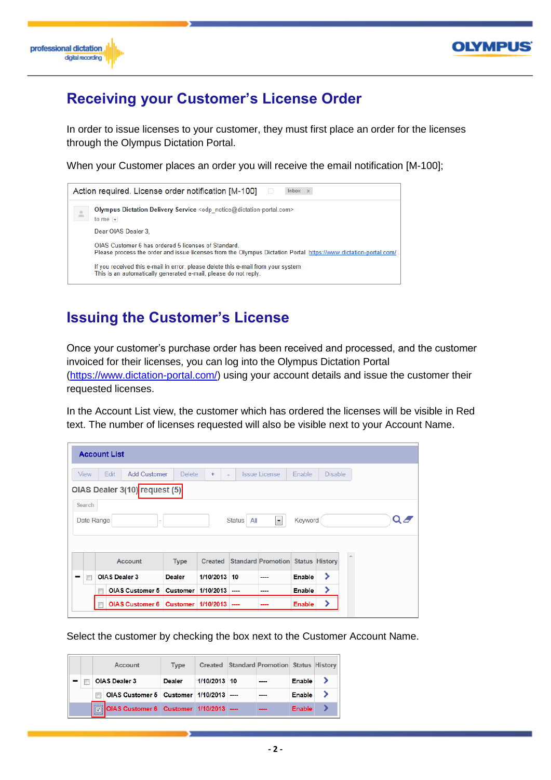



## **Receiving your Customer's License Order**

In order to issue licenses to your customer, they must first place an order for the licenses through the Olympus Dictation Portal.

When your Customer places an order you will receive the email notification [M-100];



### **Issuing the Customer's License**

Once your customer's purchase order has been received and processed, and the customer invoiced for their licenses, you can log into the Olympus Dictation Portal [\(https://www.dictation-portal.com/\)](https://www.dictation-portal.com/) using your account details and issue the customer their requested licenses.

In the Account List view, the customer which has ordered the licenses will be visible in Red text. The number of licenses requested will also be visible next to your Account Name.

|                               | <b>Account List</b>           |               |                  |                      |                                          |         |                |  |                              |
|-------------------------------|-------------------------------|---------------|------------------|----------------------|------------------------------------------|---------|----------------|--|------------------------------|
| <b>View</b>                   | <b>Add Customer</b><br>Edit   | <b>Delete</b> | $\ddot{}$<br>٠   |                      | <b>Issue License</b>                     | Enable  | <b>Disable</b> |  |                              |
|                               | OIAS Dealer 3(10) request (5) |               |                  |                      |                                          |         |                |  |                              |
| Search<br>Date Range          |                               |               |                  |                      |                                          |         |                |  |                              |
|                               |                               |               |                  | <b>Status</b><br>All | $\overline{\phantom{a}}$                 | Keyword |                |  | $\mathbf{Q} \mathbf{\Omega}$ |
|                               | Account                       | <b>Type</b>   | Created          |                      | <b>Standard Promotion Status History</b> |         |                |  |                              |
| $\overline{\phantom{a}}$<br>- | <b>OIAS Dealer 3</b>          | <b>Dealer</b> | 1/10/2013 10     |                      | ----                                     | Enable  | ⋟              |  |                              |
|                               | <b>OIAS Customer 5</b>        | Customer      | $1/10/2013$ ---- |                      | ----                                     | Enable  | ⋗              |  |                              |

Select the customer by checking the box next to the Customer Account Name.

|  |                   | Account                                         | Type          |              | Created Standard Promotion Status History |        |  |
|--|-------------------|-------------------------------------------------|---------------|--------------|-------------------------------------------|--------|--|
|  |                   | <b>OIAS Dealer 3</b>                            | <b>Dealer</b> | 1/10/2013 10 | ----                                      | Enable |  |
|  |                   | OIAS Customer 5   Customer   1/10/2013   ----   |               |              |                                           | Enable |  |
|  | <b>ASSESSMENT</b> | 7   OIAS Customer 6   Customer   1/10/2013 ---- |               |              | ----                                      | Enable |  |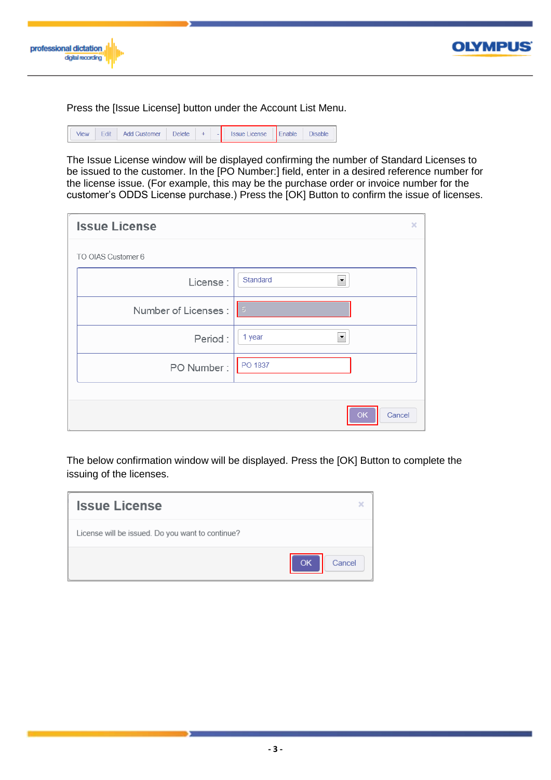

Press the [Issue License] button under the Account List Menu.

| View | Edit | <b>Add Customer</b> | Delete | ۰ | <b>Issue License</b> | $E$ nable | <b>Disable</b> |
|------|------|---------------------|--------|---|----------------------|-----------|----------------|
|      |      |                     |        |   |                      |           |                |

The Issue License window will be displayed confirming the number of Standard Licenses to be issued to the customer. In the [PO Number:] field, enter in a desired reference number for the license issue. (For example, this may be the purchase order or invoice number for the customer's ODDS License purchase.) Press the [OK] Button to confirm the issue of licenses.

| <b>Issue License</b> | ×                              |
|----------------------|--------------------------------|
| TO OIAS Customer 6   |                                |
| License:             | Standard<br>۰                  |
| Number of Licenses:  |                                |
| Period:              | 1 year<br>$\blacktriangledown$ |
| PO Number:           | PO 1837                        |
|                      |                                |
|                      | Cancel<br>OK                   |

The below confirmation window will be displayed. Press the [OK] Button to complete the issuing of the licenses.

| <b>Issue License</b>                             | ×             |
|--------------------------------------------------|---------------|
| License will be issued. Do you want to continue? |               |
|                                                  | OK.<br>Cancel |